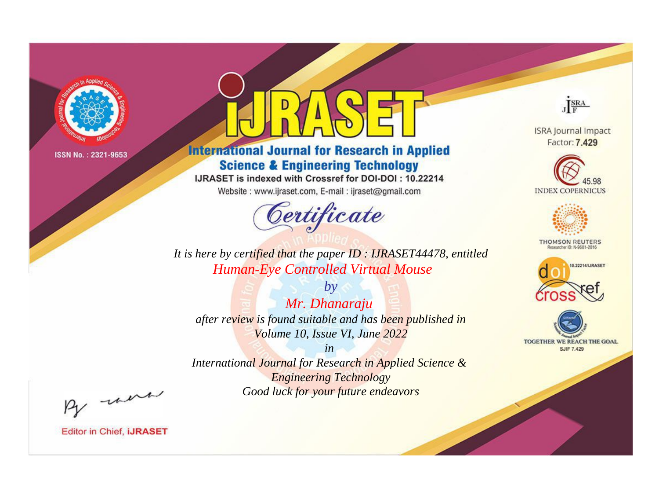

# **International Journal for Research in Applied Science & Engineering Technology**

IJRASET is indexed with Crossref for DOI-DOI: 10.22214

Website: www.ijraset.com, E-mail: ijraset@gmail.com



JERA

**ISRA Journal Impact** Factor: 7.429





**THOMSON REUTERS** 



TOGETHER WE REACH THE GOAL **SJIF 7.429** 

*It is here by certified that the paper ID : IJRASET44478, entitled Human-Eye Controlled Virtual Mouse*

*by Mr. Dhanaraju after review is found suitable and has been published in Volume 10, Issue VI, June 2022*

*in* 

*International Journal for Research in Applied Science & Engineering Technology Good luck for your future endeavors*

By morn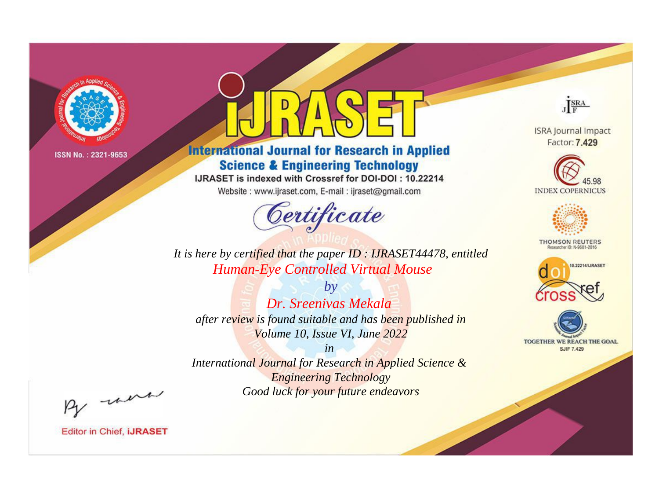

# **International Journal for Research in Applied Science & Engineering Technology**

IJRASET is indexed with Crossref for DOI-DOI: 10.22214

Website: www.ijraset.com, E-mail: ijraset@gmail.com



JERA

**ISRA Journal Impact** Factor: 7.429





**THOMSON REUTERS** 



TOGETHER WE REACH THE GOAL **SJIF 7.429** 

It is here by certified that the paper ID: IJRASET44478, entitled **Human-Eye Controlled Virtual Mouse** 

 $b\nu$ Dr. Sreenivas Mekala after review is found suitable and has been published in Volume 10, Issue VI, June 2022

 $in$ International Journal for Research in Applied Science & **Engineering Technology** Good luck for your future endeavors

By morn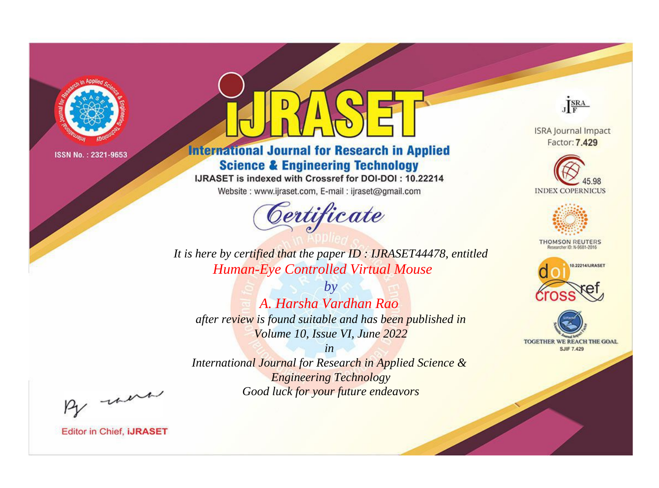

# **International Journal for Research in Applied Science & Engineering Technology**

IJRASET is indexed with Crossref for DOI-DOI: 10.22214

Website: www.ijraset.com, E-mail: ijraset@gmail.com



JERA

**ISRA Journal Impact** Factor: 7.429





**THOMSON REUTERS** 



TOGETHER WE REACH THE GOAL **SJIF 7.429** 

*It is here by certified that the paper ID : IJRASET44478, entitled Human-Eye Controlled Virtual Mouse*

*by A. Harsha Vardhan Rao after review is found suitable and has been published in Volume 10, Issue VI, June 2022*

*in* 

*International Journal for Research in Applied Science & Engineering Technology Good luck for your future endeavors*

By morn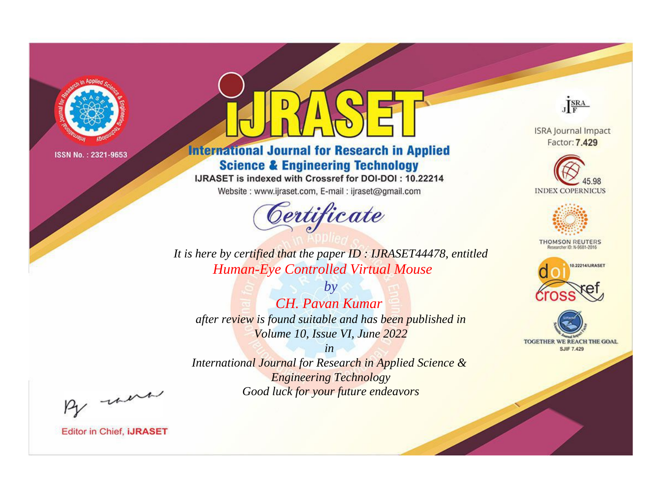

# **International Journal for Research in Applied Science & Engineering Technology**

IJRASET is indexed with Crossref for DOI-DOI: 10.22214

Website: www.ijraset.com, E-mail: ijraset@gmail.com



JERA

**ISRA Journal Impact** Factor: 7.429





**THOMSON REUTERS** 



TOGETHER WE REACH THE GOAL **SJIF 7.429** 

It is here by certified that the paper ID: IJRASET44478, entitled **Human-Eye Controlled Virtual Mouse** 

 $b\nu$ **CH.** Pavan Kumar after review is found suitable and has been published in Volume 10, Issue VI, June 2022

 $in$ International Journal for Research in Applied Science & **Engineering Technology** Good luck for your future endeavors

By morn